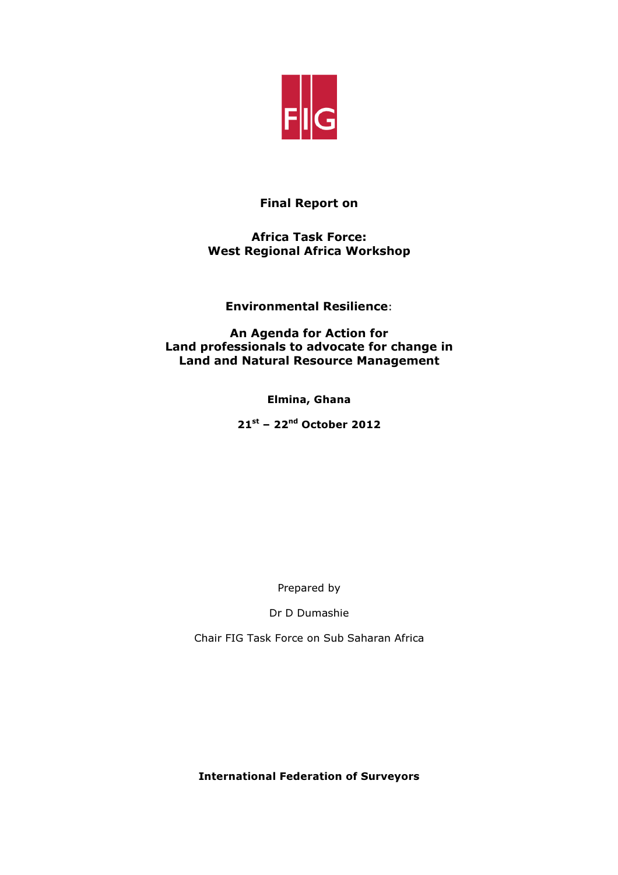

# Final Report on

## Africa Task Force: West Regional Africa Workshop

Environmental Resilience:

An Agenda for Action for Land professionals to advocate for change in Land and Natural Resource Management

Elmina, Ghana

 $21^{st}$  – 22<sup>nd</sup> October 2012

Prepared by

Dr D Dumashie

Chair FIG Task Force on Sub Saharan Africa

International Federation of Surveyors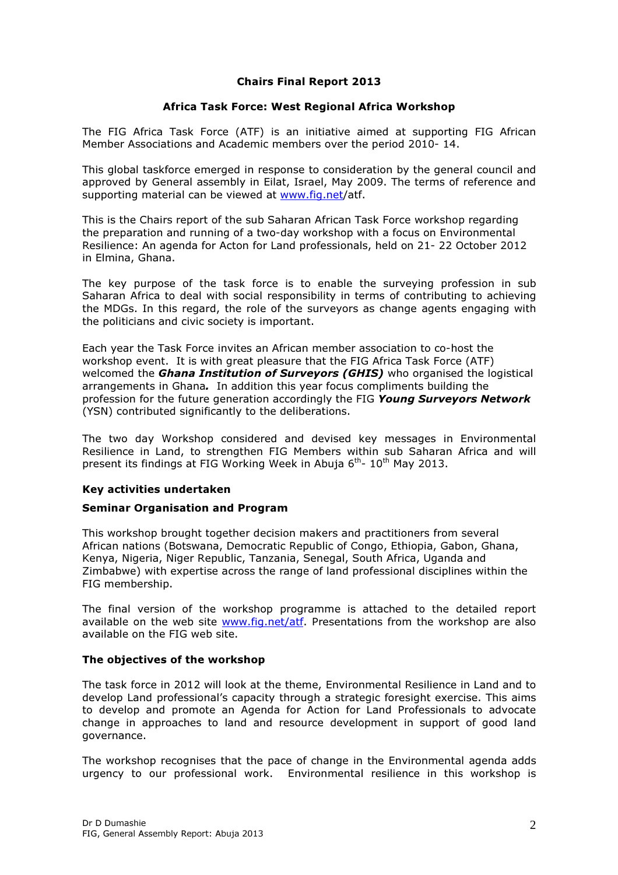## Chairs Final Report 2013

## Africa Task Force: West Regional Africa Workshop

The FIG Africa Task Force (ATF) is an initiative aimed at supporting FIG African Member Associations and Academic members over the period 2010- 14.

This global taskforce emerged in response to consideration by the general council and approved by General assembly in Eilat, Israel, May 2009. The terms of reference and supporting material can be viewed at www.fig.net/atf.

This is the Chairs report of the sub Saharan African Task Force workshop regarding the preparation and running of a two-day workshop with a focus on Environmental Resilience: An agenda for Acton for Land professionals, held on 21- 22 October 2012 in Elmina, Ghana.

The key purpose of the task force is to enable the surveying profession in sub Saharan Africa to deal with social responsibility in terms of contributing to achieving the MDGs. In this regard, the role of the surveyors as change agents engaging with the politicians and civic society is important.

Each year the Task Force invites an African member association to co-host the workshop event. It is with great pleasure that the FIG Africa Task Force (ATF) welcomed the *Ghana Institution of Survevors (GHIS)* who organised the logistical arrangements in Ghana. In addition this year focus compliments building the profession for the future generation accordingly the FIG Young Surveyors Network (YSN) contributed significantly to the deliberations.

The two day Workshop considered and devised key messages in Environmental Resilience in Land, to strengthen FIG Members within sub Saharan Africa and will present its findings at FIG Working Week in Abuia 6<sup>th</sup>- 10<sup>th</sup> Mav 2013.

## Key activities undertaken

## Seminar Organisation and Program

This workshop brought together decision makers and practitioners from several African nations (Botswana, Democratic Republic of Congo, Ethiopia, Gabon, Ghana, Kenya, Nigeria, Niger Republic, Tanzania, Senegal, South Africa, Uganda and Zimbabwe) with expertise across the range of land professional disciplines within the FIG membership.

The final version of the workshop programme is attached to the detailed report available on the web site www.fig.net/atf. Presentations from the workshop are also available on the FIG web site.

## The objectives of the workshop

The task force in 2012 will look at the theme, Environmental Resilience in Land and to develop Land professional's capacity through a strategic foresight exercise. This aims to develop and promote an Agenda for Action for Land Professionals to advocate change in approaches to land and resource development in support of good land governance.

The workshop recognises that the pace of change in the Environmental agenda adds urgency to our professional work. Environmental resilience in this workshop is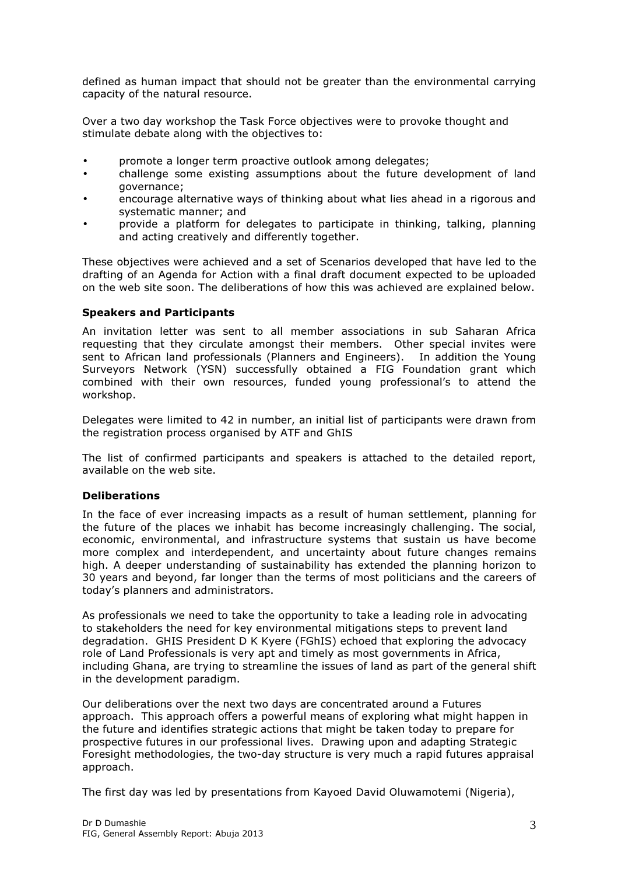defined as human impact that should not be greater than the environmental carrying capacity of the natural resource.

Over a two day workshop the Task Force objectives were to provoke thought and stimulate debate along with the objectives to:

- promote a longer term proactive outlook among delegates;
- challenge some existing assumptions about the future development of land governance;
- encourage alternative ways of thinking about what lies ahead in a rigorous and systematic manner; and
- provide a platform for delegates to participate in thinking, talking, planning and acting creatively and differently together.

These objectives were achieved and a set of Scenarios developed that have led to the drafting of an Agenda for Action with a final draft document expected to be uploaded on the web site soon. The deliberations of how this was achieved are explained below.

## Speakers and Participants

An invitation letter was sent to all member associations in sub Saharan Africa requesting that they circulate amongst their members. Other special invites were sent to African land professionals (Planners and Engineers). In addition the Young Surveyors Network (YSN) successfully obtained a FIG Foundation grant which combined with their own resources, funded young professional's to attend the workshop.

Delegates were limited to 42 in number, an initial list of participants were drawn from the registration process organised by ATF and GhIS

The list of confirmed participants and speakers is attached to the detailed report, available on the web site.

## Deliberations

In the face of ever increasing impacts as a result of human settlement, planning for the future of the places we inhabit has become increasingly challenging. The social, economic, environmental, and infrastructure systems that sustain us have become more complex and interdependent, and uncertainty about future changes remains high. A deeper understanding of sustainability has extended the planning horizon to 30 years and beyond, far longer than the terms of most politicians and the careers of today's planners and administrators.

As professionals we need to take the opportunity to take a leading role in advocating to stakeholders the need for key environmental mitigations steps to prevent land degradation. GHIS President D K Kyere (FGhIS) echoed that exploring the advocacy role of Land Professionals is very apt and timely as most governments in Africa, including Ghana, are trying to streamline the issues of land as part of the general shift in the development paradigm.

Our deliberations over the next two days are concentrated around a Futures approach. This approach offers a powerful means of exploring what might happen in the future and identifies strategic actions that might be taken today to prepare for prospective futures in our professional lives. Drawing upon and adapting Strategic Foresight methodologies, the two-day structure is very much a rapid futures appraisal approach.

The first day was led by presentations from Kayoed David Oluwamotemi (Nigeria),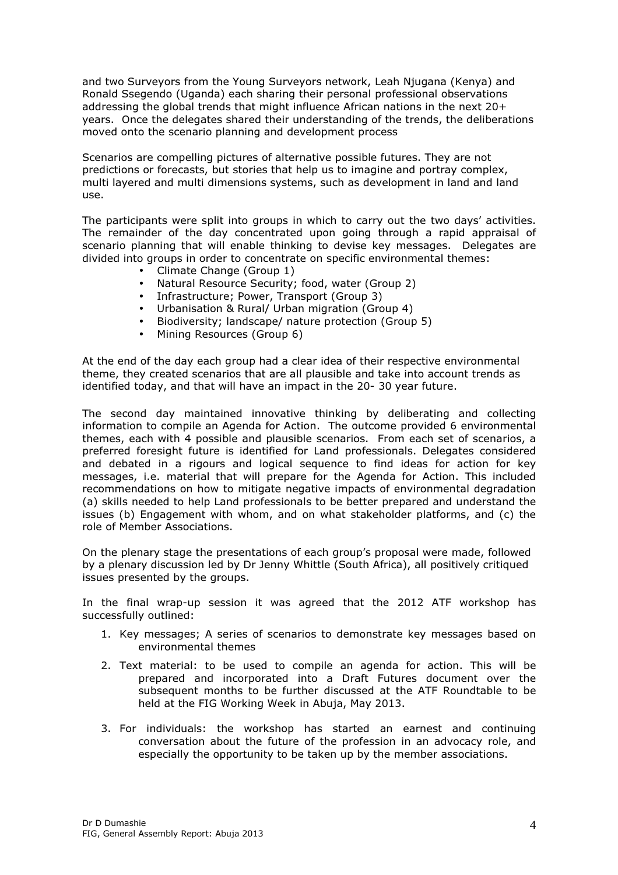and two Surveyors from the Young Surveyors network, Leah Njugana (Kenya) and Ronald Ssegendo (Uganda) each sharing their personal professional observations addressing the global trends that might influence African nations in the next 20+ years. Once the delegates shared their understanding of the trends, the deliberations moved onto the scenario planning and development process

Scenarios are compelling pictures of alternative possible futures. They are not predictions or forecasts, but stories that help us to imagine and portray complex, multi layered and multi dimensions systems, such as development in land and land use.

The participants were split into groups in which to carry out the two days' activities. The remainder of the day concentrated upon going through a rapid appraisal of scenario planning that will enable thinking to devise key messages. Delegates are divided into groups in order to concentrate on specific environmental themes:

- Climate Change (Group 1)
- Natural Resource Security; food, water (Group 2)
- Infrastructure; Power, Transport (Group 3)
- Urbanisation & Rural/ Urban migration (Group 4)
- Biodiversity; landscape/ nature protection (Group 5)
- Mining Resources (Group 6)

At the end of the day each group had a clear idea of their respective environmental theme, they created scenarios that are all plausible and take into account trends as identified today, and that will have an impact in the 20- 30 year future.

The second day maintained innovative thinking by deliberating and collecting information to compile an Agenda for Action. The outcome provided 6 environmental themes, each with 4 possible and plausible scenarios. From each set of scenarios, a preferred foresight future is identified for Land professionals. Delegates considered and debated in a rigours and logical sequence to find ideas for action for key messages, i.e. material that will prepare for the Agenda for Action. This included recommendations on how to mitigate negative impacts of environmental degradation (a) skills needed to help Land professionals to be better prepared and understand the issues (b) Engagement with whom, and on what stakeholder platforms, and (c) the role of Member Associations.

On the plenary stage the presentations of each group's proposal were made, followed by a plenary discussion led by Dr Jenny Whittle (South Africa), all positively critiqued issues presented by the groups.

In the final wrap-up session it was agreed that the 2012 ATF workshop has successfully outlined:

- 1. Key messages; A series of scenarios to demonstrate key messages based on environmental themes
- 2. Text material: to be used to compile an agenda for action. This will be prepared and incorporated into a Draft Futures document over the subsequent months to be further discussed at the ATF Roundtable to be held at the FIG Working Week in Abuja, May 2013.
- 3. For individuals: the workshop has started an earnest and continuing conversation about the future of the profession in an advocacy role, and especially the opportunity to be taken up by the member associations.